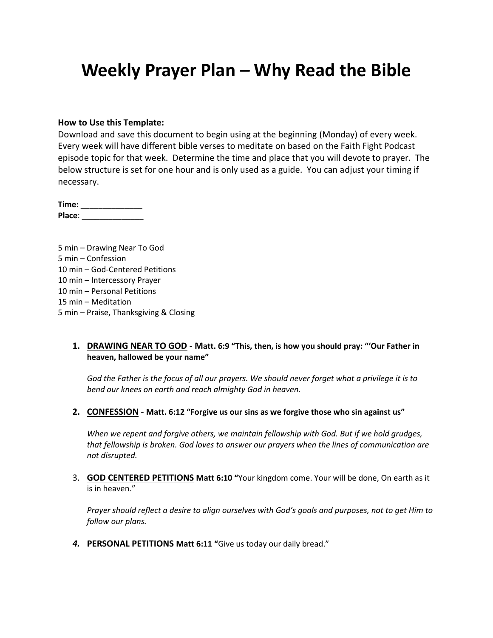# **Weekly Prayer Plan – Why Read the Bible**

#### **How to Use this Template:**

Download and save this document to begin using at the beginning (Monday) of every week. Every week will have different bible verses to meditate on based on the Faith Fight Podcast episode topic for that week. Determine the time and place that you will devote to prayer. The below structure is set for one hour and is only used as a guide. You can adjust your timing if necessary.

**Time:** \_\_\_\_\_\_\_\_\_\_\_\_\_\_ **Place**: \_\_\_\_\_\_\_\_\_\_\_\_\_\_

5 min – Drawing Near To God 5 min – Confession 10 min – God-Centered Petitions 10 min – Intercessory Prayer 10 min – Personal Petitions 15 min – Meditation 5 min – Praise, Thanksgiving & Closing

#### **1. DRAWING NEAR TO GOD - Matt. 6:9 "This, then, is how you should pray: "'Our Father in heaven, hallowed be your name"**

*God the Father is the focus of all our prayers. We should never forget what a privilege it is to bend our knees on earth and reach almighty God in heaven.*

**2. CONFESSION - Matt. 6:12 "Forgive us our sins as we forgive those who sin against us"**

*When we repent and forgive others, we maintain fellowship with God. But if we hold grudges, that fellowship is broken. God loves to answer our prayers when the lines of communication are not disrupted.*

3. **GOD CENTERED PETITIONS Matt 6:10 "**Your kingdom come. Your will be done, On earth as it is in heaven."

*Prayer should reflect a desire to align ourselves with God's goals and purposes, not to get Him to follow our plans.*

*4.* **PERSONAL PETITIONS Matt 6:11 "**Give us today our daily bread."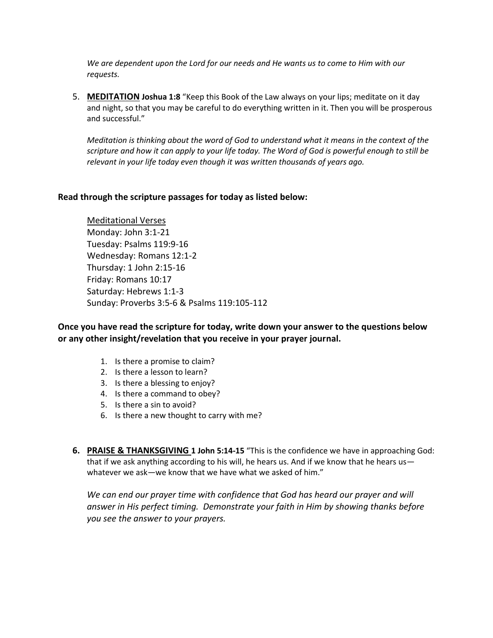*We are dependent upon the Lord for our needs and He wants us to come to Him with our requests.*

5. **MEDITATION Joshua 1:8** "Keep this Book of the Law always on your lips; meditate on it day and night, so that you may be careful to do everything written in it. Then you will be prosperous and successful."

*Meditation is thinking about the word of God to understand what it means in the context of the scripture and how it can apply to your life today. The Word of God is powerful enough to still be relevant in your life today even though it was written thousands of years ago.*

#### **Read through the scripture passages for today as listed below:**

Meditational Verses Monday: John 3:1-21 Tuesday: Psalms 119:9-16 Wednesday: Romans 12:1-2 Thursday: 1 John 2:15-16 Friday: Romans 10:17 Saturday: Hebrews 1:1-3 Sunday: Proverbs 3:5-6 & Psalms 119:105-112

#### **Once you have read the scripture for today, write down your answer to the questions below or any other insight/revelation that you receive in your prayer journal.**

- 1. Is there a promise to claim?
- 2. Is there a lesson to learn?
- 3. Is there a blessing to enjoy?
- 4. Is there a command to obey?
- 5. Is there a sin to avoid?
- 6. Is there a new thought to carry with me?
- **6. PRAISE & THANKSGIVING 1 John 5:14-15** "This is the confidence we have in approaching God: that if we ask anything according to his will, he hears us. And if we know that he hears us whatever we ask—we know that we have what we asked of him."

We can end our prayer time with confidence that God has heard our prayer and will *answer in His perfect timing. Demonstrate your faith in Him by showing thanks before you see the answer to your prayers.*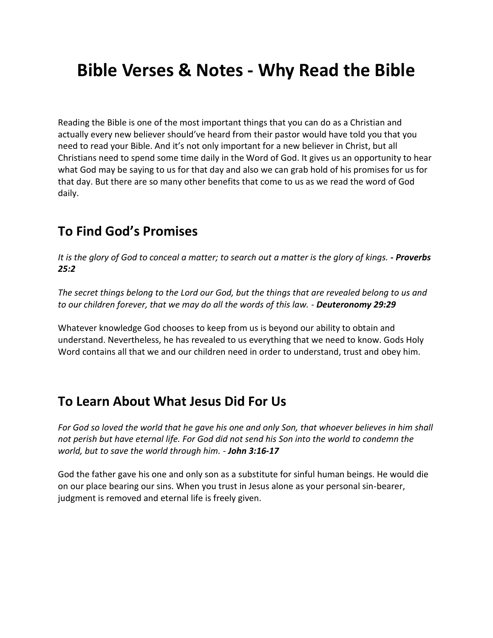# **Bible Verses & Notes - Why Read the Bible**

Reading the Bible is one of the most important things that you can do as a Christian and actually every new believer should've heard from their pastor would have told you that you need to read your Bible. And it's not only important for a new believer in Christ, but all Christians need to spend some time daily in the Word of God. It gives us an opportunity to hear what God may be saying to us for that day and also we can grab hold of his promises for us for that day. But there are so many other benefits that come to us as we read the word of God daily.

### **To Find God's Promises**

*It is the glory of God to conceal a matter; to search out a matter is the glory of kings.*  $\text{-}$  *Proverbs 25:2*

*The secret things belong to the Lord our God, but the things that are revealed belong to us and to our children forever, that we may do all the words of this law. - Deuteronomy 29:29*

Whatever knowledge God chooses to keep from us is beyond our ability to obtain and understand. Nevertheless, he has revealed to us everything that we need to know. Gods Holy Word contains all that we and our children need in order to understand, trust and obey him.

### **To Learn About What Jesus Did For Us**

*For God so loved the world that he gave his one and only Son, that whoever believes in him shall not perish but have eternal life. For God did not send his Son into the world to condemn the world, but to save the world through him. - John 3:16-17*

God the father gave his one and only son as a substitute for sinful human beings. He would die on our place bearing our sins. When you trust in Jesus alone as your personal sin-bearer, judgment is removed and eternal life is freely given.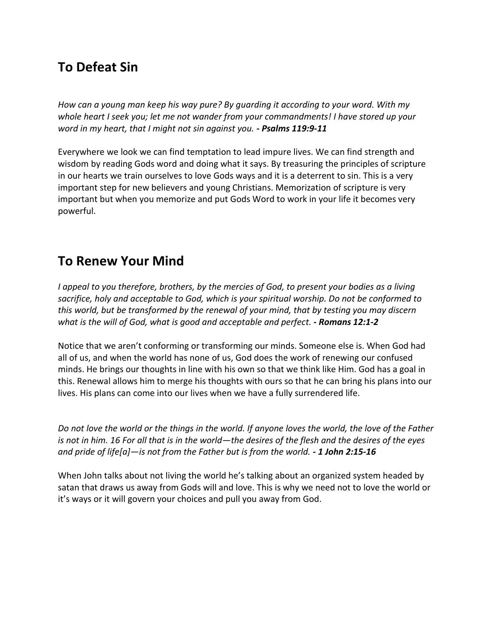## **To Defeat Sin**

*How can a young man keep his way pure? By guarding it according to your word. With my whole heart I seek you; let me not wander from your commandments! I have stored up your word in my heart, that I might not sin against you. - Psalms 119:9-11*

Everywhere we look we can find temptation to lead impure lives. We can find strength and wisdom by reading Gods word and doing what it says. By treasuring the principles of scripture in our hearts we train ourselves to love Gods ways and it is a deterrent to sin. This is a very important step for new believers and young Christians. Memorization of scripture is very important but when you memorize and put Gods Word to work in your life it becomes very powerful.

### **To Renew Your Mind**

*I appeal to you therefore, brothers, by the mercies of God, to present your bodies as a living sacrifice, holy and acceptable to God, which is your spiritual worship. Do not be conformed to this world, but be transformed by the renewal of your mind, that by testing you may discern what is the will of God, what is good and acceptable and perfect. - Romans 12:1-2*

Notice that we aren't conforming or transforming our minds. Someone else is. When God had all of us, and when the world has none of us, God does the work of renewing our confused minds. He brings our thoughts in line with his own so that we think like Him. God has a goal in this. Renewal allows him to merge his thoughts with ours so that he can bring his plans into our lives. His plans can come into our lives when we have a fully surrendered life.

*Do not love the world or the things in the world. If anyone loves the world, the love of the Father is not in him. 16 For all that is in the world—the desires of the flesh and the desires of the eyes and pride of life[a]—is not from the Father but is from the world. - 1 John 2:15-16*

When John talks about not living the world he's talking about an organized system headed by satan that draws us away from Gods will and love. This is why we need not to love the world or it's ways or it will govern your choices and pull you away from God.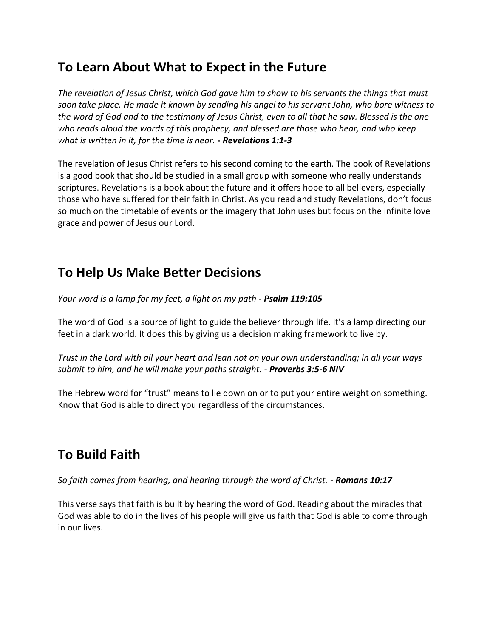## **To Learn About What to Expect in the Future**

*The revelation of Jesus Christ, which God gave him to show to his servants the things that must soon take place. He made it known by sending his angel to his servant John, who bore witness to the word of God and to the testimony of Jesus Christ, even to all that he saw. Blessed is the one who reads aloud the words of this prophecy, and blessed are those who hear, and who keep what is written in it, for the time is near. - Revelations 1:1-3*

The revelation of Jesus Christ refers to his second coming to the earth. The book of Revelations is a good book that should be studied in a small group with someone who really understands scriptures. Revelations is a book about the future and it offers hope to all believers, especially those who have suffered for their faith in Christ. As you read and study Revelations, don't focus so much on the timetable of events or the imagery that John uses but focus on the infinite love grace and power of Jesus our Lord.

# **To Help Us Make Better Decisions**

*Your word is a lamp for my feet, a light on my path - Psalm 119:105* 

The word of God is a source of light to guide the believer through life. It's a lamp directing our feet in a dark world. It does this by giving us a decision making framework to live by.

*Trust in the Lord with all your heart and lean not on your own understanding; in all your ways submit to him, and he will make your paths straight. - Proverbs 3:5-6 NIV*

The Hebrew word for "trust" means to lie down on or to put your entire weight on something. Know that God is able to direct you regardless of the circumstances.

# **To Build Faith**

*So faith comes from hearing, and hearing through the word of Christ. - Romans 10:17*

This verse says that faith is built by hearing the word of God. Reading about the miracles that God was able to do in the lives of his people will give us faith that God is able to come through in our lives.